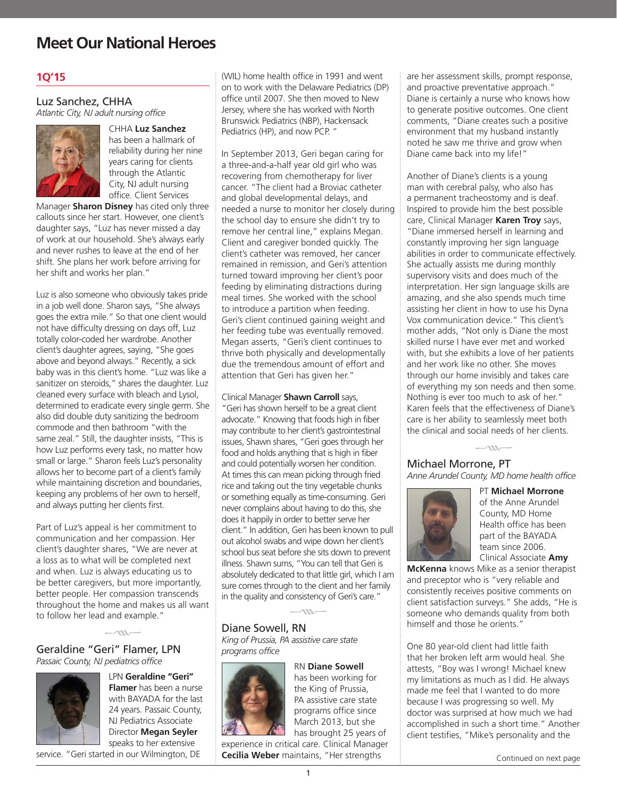## **1Q'15**

## Luz Sanchez, CHHA *Atlantic City, NJ adult nursing office*



CHHA **Luz Sanchez** has been a hallmark of reliability during her nine years caring for clients through the Atlantic City, NJ adult nursing office. Client Services

Manager **Sharon Disney** has cited only three callouts since her start. However, one client's daughter says, "Luz has never missed a day of work at our household. She's always early and never rushes to leave at the end of her shift. She plans her work before arriving for her shift and works her plan."

Luz is also someone who obviously takes pride in a job well done. Sharon says, "She always goes the extra mile." So that one client would not have difficulty dressing on days off, Luz totally color-coded her wardrobe. Another client's daughter agrees, saying, "She goes above and beyond always." Recently, a sick baby was in this client's home. "Luz was like a sanitizer on steroids," shares the daughter. Luz cleaned every surface with bleach and Lysol, determined to eradicate every single germ. She also did double duty sanitizing the bedroom commode and then bathroom "with the same zeal." Still, the daughter insists, "This is how Luz performs every task, no matter how small or large." Sharon feels Luz's personality allows her to become part of a client's family while maintaining discretion and boundaries, keeping any problems of her own to herself, and always putting her clients first.

Part of Luz's appeal is her commitment to communication and her compassion. Her client's daughter shares, "We are never at a loss as to what will be completed next and when. Luz is always educating us to be better caregivers, but more importantly, better people. Her compassion transcends throughout the home and makes us all want to follow her lead and example."

# Geraldine "Geri" Flamer, LPN  $\frac{1}{\sqrt{m}}$



LPN **Geraldine "Geri" Flamer** has been a nurse with BAYADA for the last 24 years. Passaic County, NJ Pediatrics Associate Director **Megan Seyler** speaks to her extensive

service. "Geri started in our Wilmington, DE

(WIL) home health office in 1991 and went on to work with the Delaware Pediatrics (DP) office until 2007. She then moved to New Jersey, where she has worked with North Brunswick Pediatrics (NBP), Hackensack Pediatrics (HP), and now PCP. "

In September 2013, Geri began caring for a three-and-a-half year old girl who was recovering from chemotherapy for liver cancer. "The client had a Broviac catheter and global developmental delays, and needed a nurse to monitor her closely during the school day to ensure she didn't try to remove her central line," explains Megan. Client and caregiver bonded quickly. The client's catheter was removed, her cancer remained in remission, and Geri's attention turned toward improving her client's poor feeding by eliminating distractions during meal times. She worked with the school to introduce a partition when feeding. Geri's client continued gaining weight and her feeding tube was eventually removed. Megan asserts, "Geri's client continues to thrive both physically and developmentally due the tremendous amount of effort and attention that Geri has given her."

#### Clinical Manager **Shawn Carroll** says,

"Geri has shown herself to be a great client advocate." Knowing that foods high in fiber may contribute to her client's gastrointestinal issues, Shawn shares, "Geri goes through her food and holds anything that is high in fiber and could potentially worsen her condition. At times this can mean picking through fried rice and taking out the tiny vegetable chunks or something equally as time-consuming. Geri never complains about having to do this, she does it happily in order to better serve her client." In addition, Geri has been known to pull out alcohol swabs and wipe down her client's school bus seat before she sits down to prevent illness. Shawn sums, "You can tell that Geri is absolutely dedicated to that little girl, which I am sure comes through to the client and her family in the quality and consistency of Geri's care."

## Diane Sowell, RN  $-m-$ *King of Prussia, PA assistive care state*

*programs office*



RN **Diane Sowell**  has been working for the King of Prussia, PA assistive care state programs office since March 2013, but she has brought 25 years of

experience in critical care. Clinical Manager **Cecilia Weber** maintains, "Her strengths

are her assessment skills, prompt response, and proactive preventative approach." Diane is certainly a nurse who knows how to generate positive outcomes. One client comments, "Diane creates such a positive environment that my husband instantly noted he saw me thrive and grow when Diane came back into my life!"

Another of Diane's clients is a young man with cerebral palsy, who also has a permanent tracheostomy and is deaf. Inspired to provide him the best possible care, Clinical Manager **Karen Troy** says, "Diane immersed herself in learning and constantly improving her sign language abilities in order to communicate effectively. She actually assists me during monthly supervisory visits and does much of the interpretation. Her sign language skills are amazing, and she also spends much time assisting her client in how to use his Dyna Vox communication device." This client's mother adds, "Not only is Diane the most skilled nurse I have ever met and worked with, but she exhibits a love of her patients and her work like no other. She moves through our home invisibly and takes care of everything my son needs and then some. Nothing is ever too much to ask of her." Karen feels that the effectiveness of Diane's care is her ability to seamlessly meet both the clinical and social needs of her clients.

Michael Morrone, PT  $\sim$ m. *Anne Arundel County, MD home health office*



PT **Michael Morrone** of the Anne Arundel County, MD Home Health office has been part of the BAYADA team since 2006. Clinical Associate **Amy** 

**McKenna** knows Mike as a senior therapist and preceptor who is "very reliable and consistently receives positive comments on client satisfaction surveys." She adds, "He is someone who demands quality from both himself and those he orients."

One 80 year-old client had little faith that her broken left arm would heal. She attests, "Boy was I wrong! Michael knew my limitations as much as I did. He always made me feel that I wanted to do more because I was progressing so well. My doctor was surprised at how much we had accomplished in such a short time." Another client testifies, "Mike's personality and the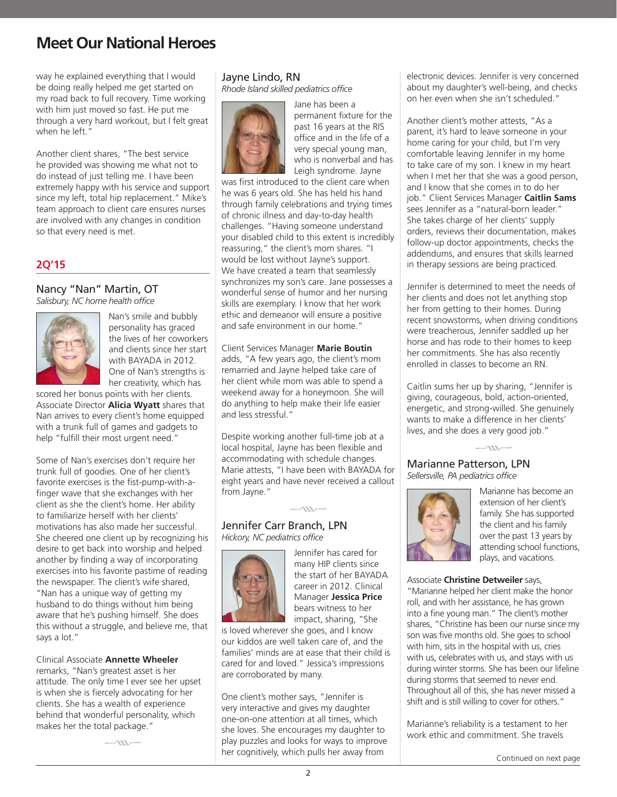way he explained everything that I would be doing really helped me get started on my road back to full recovery. Time working with him just moved so fast. He put me through a very hard workout, but I felt great when he left."

Another client shares, "The best service he provided was showing me what not to do instead of just telling me. I have been extremely happy with his service and support since my left, total hip replacement." Mike's team approach to client care ensures nurses are involved with any changes in condition so that every need is met.

## **2Q'15**

## Nancy "Nan" Martin, OT

*Salisbury, NC home health office*



Nan's smile and bubbly personality has graced the lives of her coworkers and clients since her start with BAYADA in 2012. One of Nan's strengths is her creativity, which has

scored her bonus points with her clients. Associate Director **Alicia Wyatt** shares that Nan arrives to every client's home equipped with a trunk full of games and gadgets to help "fulfill their most urgent need."

Some of Nan's exercises don't require her trunk full of goodies. One of her client's favorite exercises is the fist-pump-with-afinger wave that she exchanges with her client as she the client's home. Her ability to familiarize herself with her clients' motivations has also made her successful. She cheered one client up by recognizing his desire to get back into worship and helped another by finding a way of incorporating exercises into his favorite pastime of reading the newspaper. The client's wife shared, "Nan has a unique way of getting my husband to do things without him being aware that he's pushing himself. She does this without a struggle, and believe me, that says a lot."

#### Clinical Associate **Annette Wheeler**

remarks, "Nan's greatest asset is her attitude. The only time I ever see her upset is when she is fiercely advocating for her clients. She has a wealth of experience behind that wonderful personality, which makes her the total package."

 $\sim$ 

## Jayne Lindo, RN

*Rhode Island skilled pediatrics office*



permanent fixture for the past 16 years at the RIS office and in the life of a very special young man, who is nonverbal and has Leigh syndrome. Jayne

Jane has been a

was first introduced to the client care when he was 6 years old. She has held his hand through family celebrations and trying times of chronic illness and day-to-day health challenges. "Having someone understand your disabled child to this extent is incredibly reassuring," the client's mom shares. "I would be lost without Jayne's support. We have created a team that seamlessly synchronizes my son's care. Jane possesses a wonderful sense of humor and her nursing skills are exemplary. I know that her work ethic and demeanor will ensure a positive and safe environment in our home."

#### Client Services Manager **Marie Boutin**  adds, "A few years ago, the client's mom remarried and Jayne helped take care of her client while mom was able to spend a weekend away for a honeymoon. She will do anything to help make their life easier and less stressful."

Despite working another full-time job at a local hospital, Jayne has been flexible and accommodating with schedule changes. Marie attests, "I have been with BAYADA for eight years and have never received a callout from Jayne."

 $\sim$ 

## Jennifer Carr Branch, LPN *Hickory, NC pediatrics office*



Jennifer has cared for many HIP clients since the start of her BAYADA career in 2012. Clinical Manager **Jessica Price**  bears witness to her impact, sharing, "She

is loved wherever she goes, and I know our kiddos are well taken care of, and the families' minds are at ease that their child is cared for and loved." Jessica's impressions are corroborated by many.

One client's mother says, "Jennifer is very interactive and gives my daughter one-on-one attention at all times, which she loves. She encourages my daughter to play puzzles and looks for ways to improve her cognitively, which pulls her away from

electronic devices. Jennifer is very concerned about my daughter's well-being, and checks on her even when she isn't scheduled."

Another client's mother attests, "As a parent, it's hard to leave someone in your home caring for your child, but I'm very comfortable leaving Jennifer in my home to take care of my son. I knew in my heart when I met her that she was a good person, and I know that she comes in to do her job." Client Services Manager **Caitlin Sams** sees Jennifer as a "natural-born leader." She takes charge of her clients' supply orders, reviews their documentation, makes follow-up doctor appointments, checks the addendums, and ensures that skills learned in therapy sessions are being practiced.

Jennifer is determined to meet the needs of her clients and does not let anything stop her from getting to their homes. During recent snowstorms, when driving conditions were treacherous, Jennifer saddled up her horse and has rode to their homes to keep her commitments. She has also recently enrolled in classes to become an RN.

Caitlin sums her up by sharing, "Jennifer is giving, courageous, bold, action-oriented, energetic, and strong-willed. She genuinely wants to make a difference in her clients' lives, and she does a very good job."

 $\overline{\phantom{0}}$ 

Marianne Patterson, LPN *Sellersville, PA pediatrics office*



Marianne has become an extension of her client's family. She has supported the client and his family over the past 13 years by attending school functions, plays, and vacations.

### Associate **Christine Detweiler** says,

"Marianne helped her client make the honor roll, and with her assistance, he has grown into a fine young man." The client's mother shares, "Christine has been our nurse since my son was five months old. She goes to school with him, sits in the hospital with us, cries with us, celebrates with us, and stays with us during winter storms. She has been our lifeline during storms that seemed to never end. Throughout all of this, she has never missed a shift and is still willing to cover for others."

Marianne's reliability is a testament to her work ethic and commitment. She travels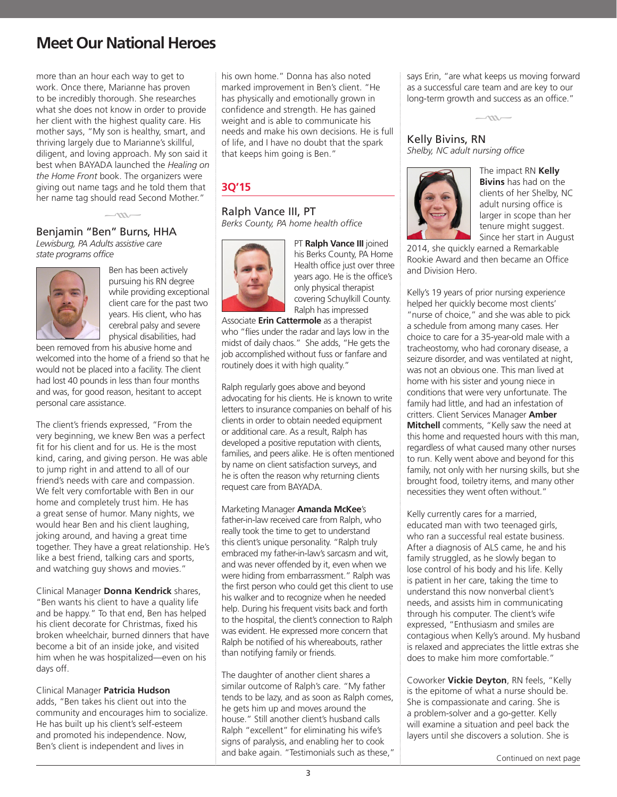more than an hour each way to get to work. Once there, Marianne has proven to be incredibly thorough. She researches what she does not know in order to provide her client with the highest quality care. His mother says, "My son is healthy, smart, and thriving largely due to Marianne's skillful, diligent, and loving approach. My son said it best when BAYADA launched the *Healing on the Home Front* book. The organizers were giving out name tags and he told them that her name tag should read Second Mother."

### Benjamin "Ben" Burns, HHA *Lewisburg, PA Adults assistive care state programs office*

 $\sim$ 



Ben has been actively pursuing his RN degree while providing exceptional client care for the past two years. His client, who has cerebral palsy and severe physical disabilities, had

been removed from his abusive home and welcomed into the home of a friend so that he would not be placed into a facility. The client had lost 40 pounds in less than four months and was, for good reason, hesitant to accept personal care assistance.

The client's friends expressed, "From the very beginning, we knew Ben was a perfect fit for his client and for us. He is the most kind, caring, and giving person. He was able to jump right in and attend to all of our friend's needs with care and compassion. We felt very comfortable with Ben in our home and completely trust him. He has a great sense of humor. Many nights, we would hear Ben and his client laughing, joking around, and having a great time together. They have a great relationship. He's like a best friend, talking cars and sports, and watching guy shows and movies."

Clinical Manager **Donna Kendrick** shares, "Ben wants his client to have a quality life and be happy." To that end, Ben has helped his client decorate for Christmas, fixed his broken wheelchair, burned dinners that have become a bit of an inside joke, and visited him when he was hospitalized—even on his days off.

#### Clinical Manager **Patricia Hudson**

adds, "Ben takes his client out into the community and encourages him to socialize. He has built up his client's self-esteem and promoted his independence. Now, Ben's client is independent and lives in

his own home." Donna has also noted marked improvement in Ben's client. "He has physically and emotionally grown in confidence and strength. He has gained weight and is able to communicate his needs and make his own decisions. He is full of life, and I have no doubt that the spark that keeps him going is Ben."

## **3Q'15**

# Ralph Vance III, PT

*Berks County, PA home health office*



PT **Ralph Vance III** joined his Berks County, PA Home Health office just over three years ago. He is the office's only physical therapist covering Schuylkill County. Ralph has impressed

Associate **Erin Cattermole** as a therapist who "flies under the radar and lays low in the midst of daily chaos." She adds, "He gets the job accomplished without fuss or fanfare and routinely does it with high quality."

Ralph regularly goes above and beyond advocating for his clients. He is known to write letters to insurance companies on behalf of his clients in order to obtain needed equipment or additional care. As a result, Ralph has developed a positive reputation with clients, families, and peers alike. He is often mentioned by name on client satisfaction surveys, and he is often the reason why returning clients request care from BAYADA.

#### Marketing Manager **Amanda McKee**'s

father-in-law received care from Ralph, who really took the time to get to understand this client's unique personality. "Ralph truly embraced my father-in-law's sarcasm and wit, and was never offended by it, even when we were hiding from embarrassment." Ralph was the first person who could get this client to use his walker and to recognize when he needed help. During his frequent visits back and forth to the hospital, the client's connection to Ralph was evident. He expressed more concern that Ralph be notified of his whereabouts, rather than notifying family or friends.

The daughter of another client shares a similar outcome of Ralph's care. "My father tends to be lazy, and as soon as Ralph comes, he gets him up and moves around the house." Still another client's husband calls Ralph "excellent" for eliminating his wife's signs of paralysis, and enabling her to cook and bake again. "Testimonials such as these," says Erin, "are what keeps us moving forward as a successful care team and are key to our long-term growth and success as an office."



## Kelly Bivins, RN *Shelby, NC adult nursing office*



The impact RN **Kelly Bivins** has had on the clients of her Shelby, NC adult nursing office is larger in scope than her tenure might suggest. Since her start in August

2014, she quickly earned a Remarkable Rookie Award and then became an Office and Division Hero.

Kelly's 19 years of prior nursing experience helped her quickly become most clients' "nurse of choice," and she was able to pick a schedule from among many cases. Her choice to care for a 35-year-old male with a tracheostomy, who had coronary disease, a seizure disorder, and was ventilated at night, was not an obvious one. This man lived at home with his sister and young niece in conditions that were very unfortunate. The family had little, and had an infestation of critters. Client Services Manager **Amber Mitchell** comments, "Kelly saw the need at this home and requested hours with this man, regardless of what caused many other nurses to run. Kelly went above and beyond for this family, not only with her nursing skills, but she brought food, toiletry items, and many other necessities they went often without."

Kelly currently cares for a married, educated man with two teenaged girls, who ran a successful real estate business. After a diagnosis of ALS came, he and his family struggled, as he slowly began to lose control of his body and his life. Kelly is patient in her care, taking the time to understand this now nonverbal client's needs, and assists him in communicating through his computer. The client's wife expressed, "Enthusiasm and smiles are contagious when Kelly's around. My husband is relaxed and appreciates the little extras she does to make him more comfortable."

Coworker **Vickie Deyton**, RN feels, "Kelly is the epitome of what a nurse should be. She is compassionate and caring. She is a problem-solver and a go-getter. Kelly will examine a situation and peel back the layers until she discovers a solution. She is